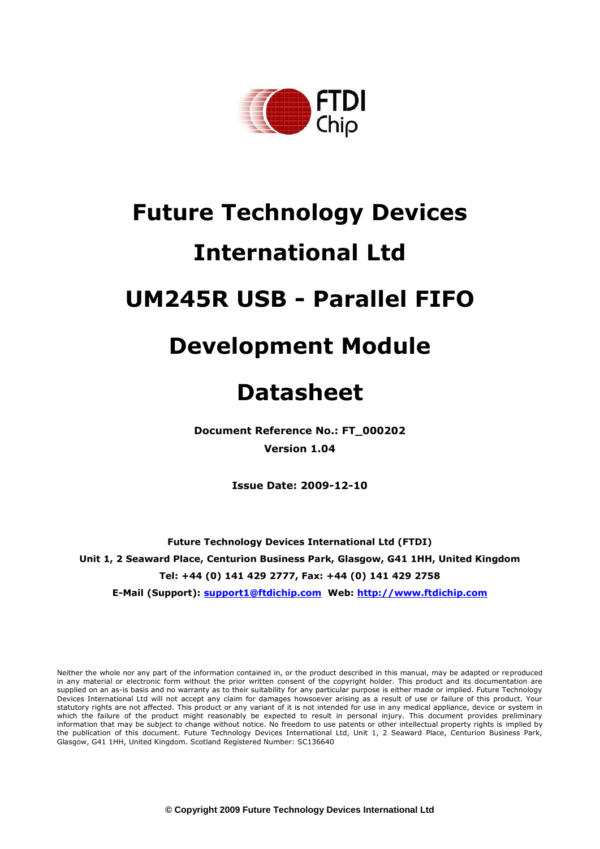

# **Future Technology Devices International Ltd UM245R USB - Parallel FIFO**

## **Development Module**

## **Datasheet**

**Document Reference No.: FT\_000202 Version 1.04**

**Issue Date: 2009-12-10**

**Future Technology Devices International Ltd (FTDI) Unit 1, 2 Seaward Place, Centurion Business Park, Glasgow, G41 1HH, United Kingdom Tel: +44 (0) 141 429 2777, Fax: +44 (0) 141 429 2758**

**E-Mail (Support): support1@ftdichip.com Web: http://www.ftdichip.com**

Neither the whole nor any part of the information contained in, or the product described in this manual, may be adapted or reproduced in any material or electronic form without the prior written consent of the copyright holder. This product and its documentation are supplied on an as-is basis and no warranty as to their suitability for any particular purpose is either made or implied. Future Technology Devices International Ltd will not accept any claim for damages howsoever arising as a result of use or failure of this product. Your statutory rights are not affected. This product or any variant of it is not intended for use in any medical appliance, device or system in which the failure of the product might reasonably be expected to result in personal injury. This document provides preliminary information that may be subject to change without notice. No freedom to use patents or other intellectual property rights is implied by the publication of this document. Future Technology Devices International Ltd, Unit 1, 2 Seaward Place, Centurion Business Park, Glasgow, G41 1HH, United Kingdom. Scotland Registered Number: SC136640

**© Copyright 2009 Future Technology Devices International Ltd**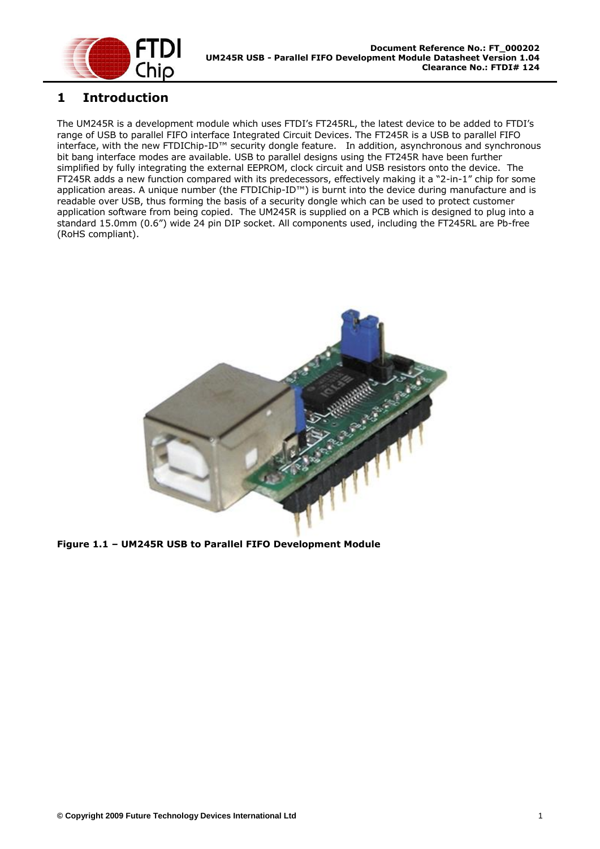

#### <span id="page-1-0"></span>**1 Introduction**

The UM245R is a development module which uses FTDI"s FT245RL, the latest device to be added to FTDI"s range of USB to parallel FIFO interface Integrated Circuit Devices. The FT245R is a USB to parallel FIFO interface, with the new FTDIChip-ID™ security dongle feature. In addition, asynchronous and synchronous bit bang interface modes are available. USB to parallel designs using the FT245R have been further simplified by fully integrating the external EEPROM, clock circuit and USB resistors onto the device. The FT245R adds a new function compared with its predecessors, effectively making it a "2-in-1" chip for some application areas. A unique number (the FTDIChip-ID™) is burnt into the device during manufacture and is readable over USB, thus forming the basis of a security dongle which can be used to protect customer application software from being copied. The UM245R is supplied on a PCB which is designed to plug into a standard 15.0mm (0.6") wide 24 pin DIP socket. All components used, including the FT245RL are Pb-free (RoHS compliant).

<span id="page-1-1"></span>

**Figure 1.1 – UM245R USB to Parallel FIFO Development Module**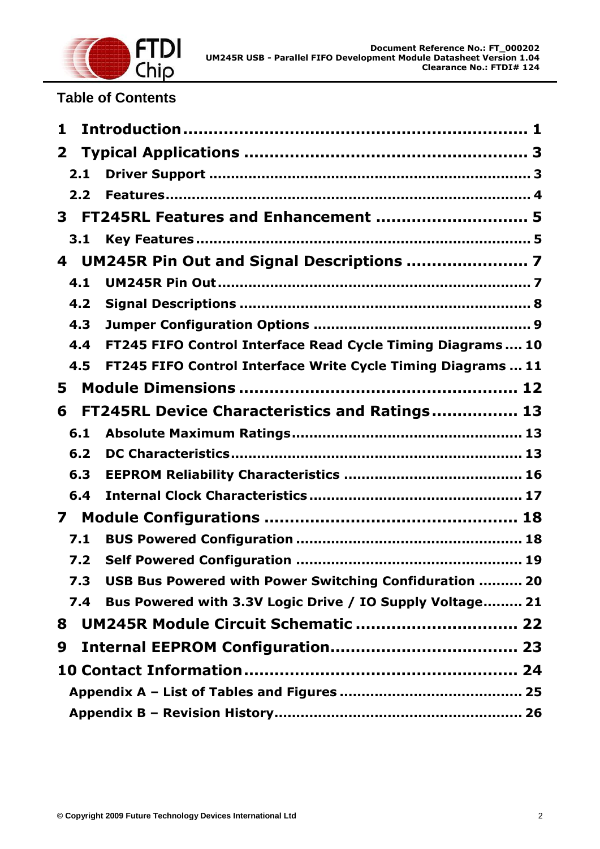

## **Table of Contents**

| 1            |     |                                                              |
|--------------|-----|--------------------------------------------------------------|
| $\mathbf{2}$ |     |                                                              |
| 2.1          |     |                                                              |
| 2.2          |     |                                                              |
| 3            |     | FT245RL Features and Enhancement  5                          |
| 3.1          |     |                                                              |
| 4            |     |                                                              |
| 4.1          |     |                                                              |
| 4.2          |     |                                                              |
| 4.3          |     |                                                              |
| 4.4          |     | FT245 FIFO Control Interface Read Cycle Timing Diagrams  10  |
| 4.5          |     | FT245 FIFO Control Interface Write Cycle Timing Diagrams  11 |
| 5            |     |                                                              |
| 6            |     | FT245RL Device Characteristics and Ratings 13                |
| 6.1          |     |                                                              |
| 6.2          |     |                                                              |
| 6.3          |     |                                                              |
| 6.4          |     |                                                              |
| 7            |     |                                                              |
| 7.1          |     |                                                              |
|              | 7.2 |                                                              |
| 7.3          |     | USB Bus Powered with Power Switching Confiduration  20       |
| 7.4          |     | Bus Powered with 3.3V Logic Drive / IO Supply Voltage 21     |
| 8            |     | UM245R Module Circuit Schematic  22                          |
| 9            |     |                                                              |
|              |     |                                                              |
|              |     |                                                              |
|              |     |                                                              |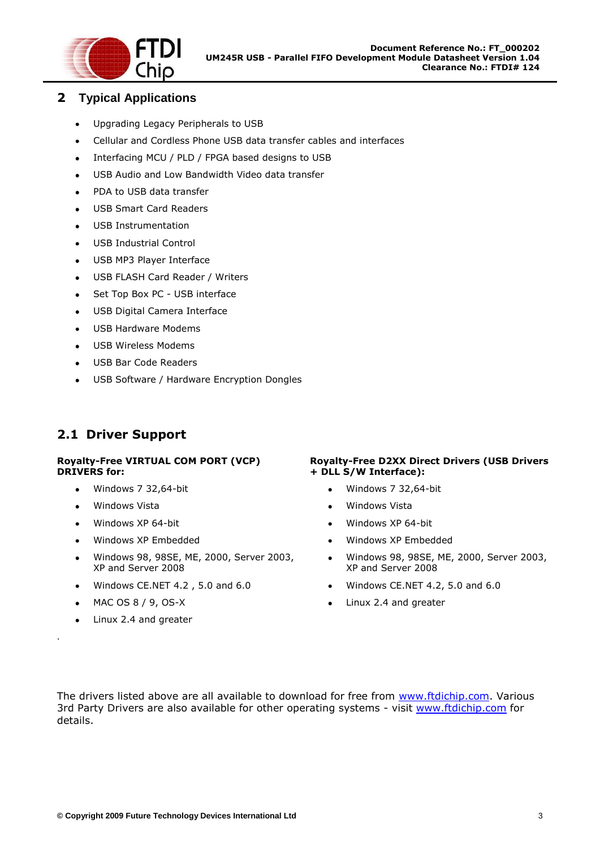

#### <span id="page-3-0"></span>**2 Typical Applications**

- Upgrading Legacy Peripherals to USB  $\bullet$
- Cellular and Cordless Phone USB data transfer cables and interfaces  $\bullet$
- Interfacing MCU / PLD / FPGA based designs to USB  $\bullet$
- USB Audio and Low Bandwidth Video data transfer  $\bullet$
- PDA to USB data transfer
- USB Smart Card Readers  $\bullet$
- USB Instrumentation
- USB Industrial Control  $\bullet$
- USB MP3 Player Interface
- USB FLASH Card Reader / Writers  $\bullet$
- Set Top Box PC USB interface
- USB Digital Camera Interface  $\bullet$
- USB Hardware Modems
- USB Wireless Modems  $\bullet$
- USB Bar Code Readers
- USB Software / Hardware Encryption Dongles  $\bullet$

## <span id="page-3-1"></span>**2.1 Driver Support**

#### **Royalty-Free VIRTUAL COM PORT (VCP) DRIVERS for:**

- Windows 7 32,64-bit
- $\bullet$ Windows Vista
- Windows XP 64-bit
- Windows XP Embedded  $\bullet$
- Windows 98, 98SE, ME, 2000, Server 2003,  $\bullet$ XP and Server 2008
- Windows CE.NET 4.2 , 5.0 and 6.0
- MAC OS 8 / 9, OS-X  $\bullet$

.

Linux 2.4 and greater

#### **Royalty-Free D2XX Direct Drivers (USB Drivers + DLL S/W Interface):**

- $\bullet$ Windows 7 32,64-bit
- Windows Vista  $\bullet$
- Windows XP 64-bit  $\bullet$
- $\bullet$ Windows XP Embedded
- $\bullet$ Windows 98, 98SE, ME, 2000, Server 2003, XP and Server 2008
- Windows CE.NET 4.2, 5.0 and 6.0
- Linux 2.4 and greater  $\bullet$

The drivers listed above are all available to download for free from [www.ftdichip.com.](http://www.ftdichip.com/) Various 3rd Party Drivers are also available for other operating systems - visit [www.ftdichip.com](http://www.ftdichip.com/) for details.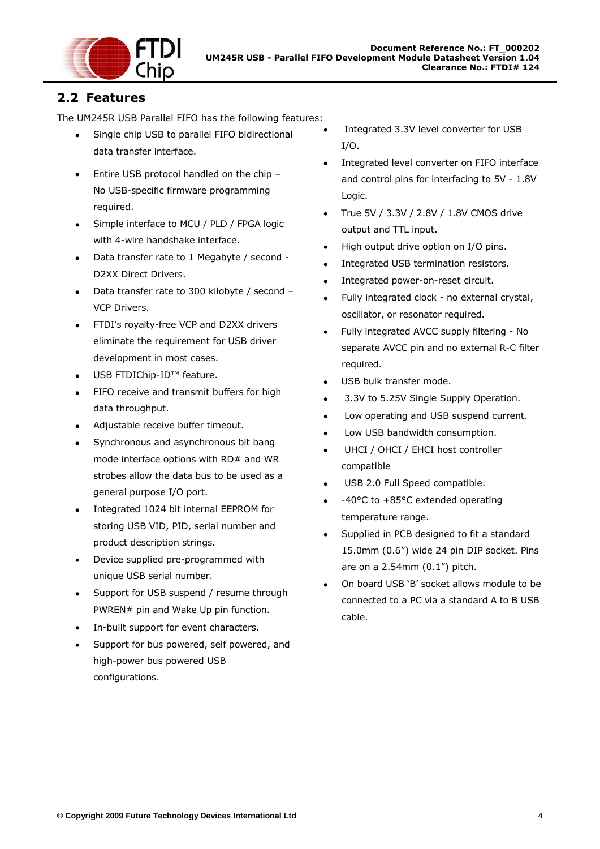

## <span id="page-4-0"></span>**2.2 Features**

The UM245R USB Parallel FIFO has the following features:

- Single chip USB to parallel FIFO bidirectional data transfer interface.
- Entire USB protocol handled on the chip -No USB-specific firmware programming required.
- Simple interface to MCU / PLD / FPGA logic  $\bullet$ with 4-wire handshake interface.
- Data transfer rate to 1 Megabyte / second D2XX Direct Drivers.
- Data transfer rate to 300 kilobyte / second VCP Drivers.
- FTDI"s royalty-free VCP and D2XX drivers  $\bullet$ eliminate the requirement for USB driver development in most cases.
- USB FTDIChip-ID™ feature.  $\bullet$
- FIFO receive and transmit buffers for high  $\bullet$ data throughput.
- Adjustable receive buffer timeout.  $\bullet$
- Synchronous and asynchronous bit bang mode interface options with RD# and WR strobes allow the data bus to be used as a general purpose I/O port.
- Integrated 1024 bit internal EEPROM for storing USB VID, PID, serial number and product description strings.
- Device supplied pre-programmed with  $\bullet$ unique USB serial number.
- Support for USB suspend / resume through  $\bullet$ PWREN# pin and Wake Up pin function.
- In-built support for event characters.  $\bullet$
- Support for bus powered, self powered, and high-power bus powered USB configurations.
- Integrated 3.3V level converter for USB I/O.
- Integrated level converter on FIFO interface and control pins for interfacing to 5V - 1.8V Logic.
- True 5V / 3.3V / 2.8V / 1.8V CMOS drive output and TTL input.
- High output drive option on I/O pins.
- Integrated USB termination resistors.  $\bullet$
- Integrated power-on-reset circuit.  $\bullet$
- Fully integrated clock no external crystal,  $\bullet$ oscillator, or resonator required.
- Fully integrated AVCC supply filtering No separate AVCC pin and no external R-C filter required.
- USB bulk transfer mode.
- 3.3V to 5.25V Single Supply Operation.
- Low operating and USB suspend current.
- Low USB bandwidth consumption.
- UHCI / OHCI / EHCI host controller compatible
- USB 2.0 Full Speed compatible.  $\bullet$
- -40°C to +85°C extended operating temperature range.
- Supplied in PCB designed to fit a standard 15.0mm (0.6") wide 24 pin DIP socket. Pins are on a 2.54mm (0.1") pitch.
- On board USB "B" socket allows module to be connected to a PC via a standard A to B USB cable.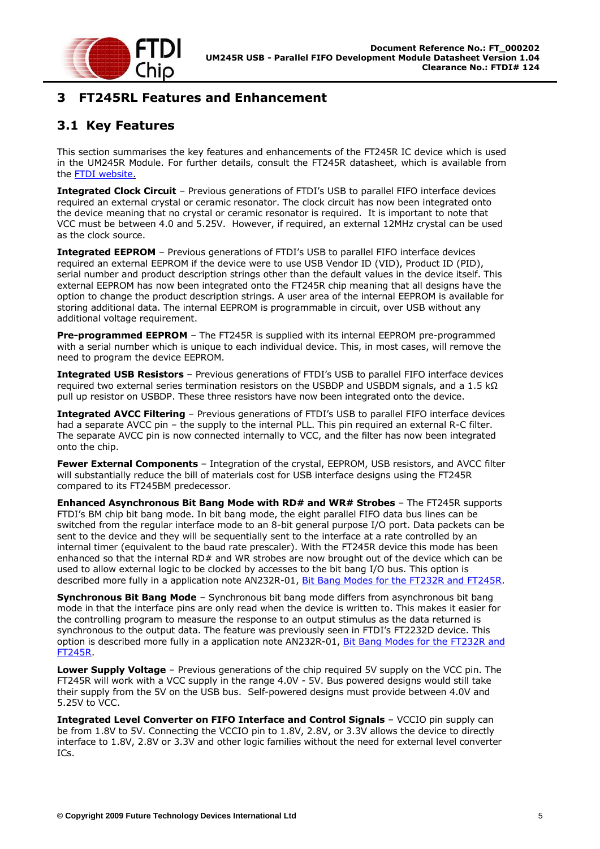

## <span id="page-5-0"></span>**3 FT245RL Features and Enhancement**

#### <span id="page-5-1"></span>**3.1 Key Features**

This section summarises the key features and enhancements of the FT245R IC device which is used in the UM245R Module. For further details, consult the FT245R datasheet, which is available from the FTDI website.

**Integrated Clock Circuit** - Previous generations of FTDI's USB to parallel FIFO interface devices required an external crystal or ceramic resonator. The clock circuit has now been integrated onto the device meaning that no crystal or ceramic resonator is required. It is important to note that VCC must be between 4.0 and 5.25V. However, if required, an external 12MHz crystal can be used as the clock source.

**Integrated EEPROM** – Previous generations of FTDI's USB to parallel FIFO interface devices required an external EEPROM if the device were to use USB Vendor ID (VID), Product ID (PID), serial number and product description strings other than the default values in the device itself. This external EEPROM has now been integrated onto the FT245R chip meaning that all designs have the option to change the product description strings. A user area of the internal EEPROM is available for storing additional data. The internal EEPROM is programmable in circuit, over USB without any additional voltage requirement.

**Pre-programmed EEPROM** – The FT245R is supplied with its internal EEPROM pre-programmed with a serial number which is unique to each individual device. This, in most cases, will remove the need to program the device EEPROM.

**Integrated USB Resistors** – Previous generations of FTDI"s USB to parallel FIFO interface devices required two external series termination resistors on the USBDP and USBDM signals, and a 1.5 kΩ pull up resistor on USBDP. These three resistors have now been integrated onto the device.

**Integrated AVCC Filtering** – Previous generations of FTDI's USB to parallel FIFO interface devices had a separate AVCC pin – the supply to the internal PLL. This pin required an external R-C filter. The separate AVCC pin is now connected internally to VCC, and the filter has now been integrated onto the chip.

**Fewer External Components** – Integration of the crystal, EEPROM, USB resistors, and AVCC filter will substantially reduce the bill of materials cost for USB interface designs using the FT245R compared to its FT245BM predecessor.

**Enhanced Asynchronous Bit Bang Mode with RD# and WR# Strobes** – The FT245R supports FTDI"s BM chip bit bang mode. In bit bang mode, the eight parallel FIFO data bus lines can be switched from the regular interface mode to an 8-bit general purpose I/O port. Data packets can be sent to the device and they will be sequentially sent to the interface at a rate controlled by an internal timer (equivalent to the baud rate prescaler). With the FT245R device this mode has been enhanced so that the internal RD# and WR strobes are now brought out of the device which can be used to allow external logic to be clocked by accesses to the bit bang I/O bus. This option is described more fully in a application note AN232R-01, [Bit Bang Modes for the FT232R and FT245R.](http://www.ftdichip.com/Documents/AppNotes/AN232R-01_FT232RBitBangModes.pdf)

**Synchronous Bit Bang Mode** – Synchronous bit bang mode differs from asynchronous bit bang mode in that the interface pins are only read when the device is written to. This makes it easier for the controlling program to measure the response to an output stimulus as the data returned is synchronous to the output data. The feature was previously seen in FTDI's FT2232D device. This option is described more fully in a application note AN232R-01, Bit Bang Modes for the FT232R and [FT245R.](http://www.ftdichip.com/Documents/AppNotes/AN232R-01_FT232RBitBangModes.pdf)

**Lower Supply Voltage** – Previous generations of the chip required 5V supply on the VCC pin. The FT245R will work with a VCC supply in the range 4.0V - 5V. Bus powered designs would still take their supply from the 5V on the USB bus. Self-powered designs must provide between 4.0V and 5.25V to VCC.

**Integrated Level Converter on FIFO Interface and Control Signals** – VCCIO pin supply can be from 1.8V to 5V. Connecting the VCCIO pin to 1.8V, 2.8V, or 3.3V allows the device to directly interface to 1.8V, 2.8V or 3.3V and other logic families without the need for external level converter ICs.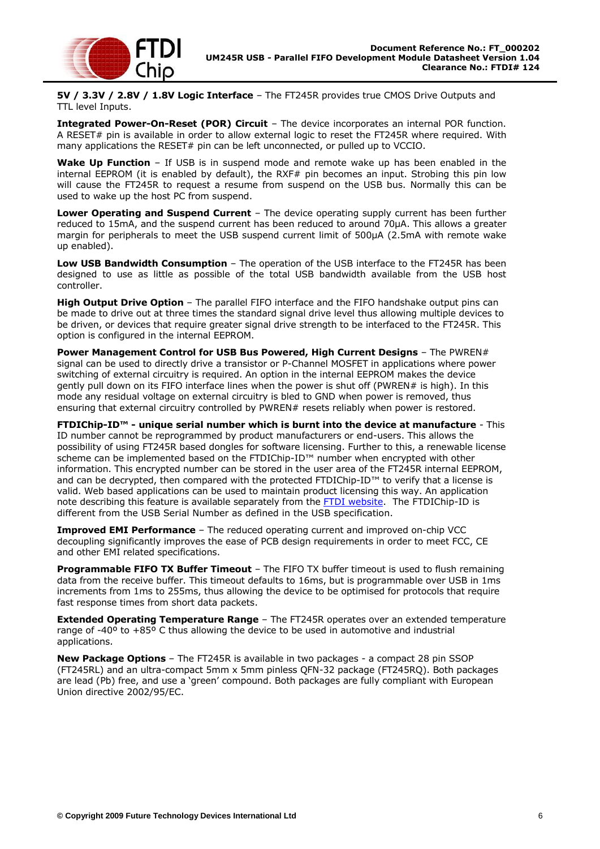

**5V / 3.3V / 2.8V / 1.8V Logic Interface** – The FT245R provides true CMOS Drive Outputs and TTL level Inputs.

**Integrated Power-On-Reset (POR) Circuit** – The device incorporates an internal POR function. A RESET# pin is available in order to allow external logic to reset the FT245R where required. With many applications the RESET# pin can be left unconnected, or pulled up to VCCIO.

**Wake Up Function** – If USB is in suspend mode and remote wake up has been enabled in the internal EEPROM (it is enabled by default), the RXF# pin becomes an input. Strobing this pin low will cause the FT245R to request a resume from suspend on the USB bus. Normally this can be used to wake up the host PC from suspend.

**Lower Operating and Suspend Current** - The device operating supply current has been further reduced to 15mA, and the suspend current has been reduced to around 70μA. This allows a greater margin for peripherals to meet the USB suspend current limit of 500μA (2.5mA with remote wake up enabled).

**Low USB Bandwidth Consumption** – The operation of the USB interface to the FT245R has been designed to use as little as possible of the total USB bandwidth available from the USB host controller.

**High Output Drive Option** – The parallel FIFO interface and the FIFO handshake output pins can be made to drive out at three times the standard signal drive level thus allowing multiple devices to be driven, or devices that require greater signal drive strength to be interfaced to the FT245R. This option is configured in the internal EEPROM.

**Power Management Control for USB Bus Powered, High Current Designs** – The PWREN# signal can be used to directly drive a transistor or P-Channel MOSFET in applications where power switching of external circuitry is required. An option in the internal EEPROM makes the device gently pull down on its FIFO interface lines when the power is shut off (PWREN# is high). In this mode any residual voltage on external circuitry is bled to GND when power is removed, thus ensuring that external circuitry controlled by PWREN# resets reliably when power is restored.

**FTDIChip-ID™ - unique serial number which is burnt into the device at manufacture** - This ID number cannot be reprogrammed by product manufacturers or end-users. This allows the possibility of using FT245R based dongles for software licensing. Further to this, a renewable license scheme can be implemented based on the FTDIChip-ID™ number when encrypted with other information. This encrypted number can be stored in the user area of the FT245R internal EEPROM, and can be decrypted, then compared with the protected FTDIChip-ID™ to verify that a license is valid. Web based applications can be used to maintain product licensing this way. An application note describing this feature is available separately from the [FTDI website.](http://www.ftdichip.com/) The FTDIChip-ID is different from the USB Serial Number as defined in the USB specification.

**Improved EMI Performance** – The reduced operating current and improved on-chip VCC decoupling significantly improves the ease of PCB design requirements in order to meet FCC, CE and other EMI related specifications.

**Programmable FIFO TX Buffer Timeout** – The FIFO TX buffer timeout is used to flush remaining data from the receive buffer. This timeout defaults to 16ms, but is programmable over USB in 1ms increments from 1ms to 255ms, thus allowing the device to be optimised for protocols that require fast response times from short data packets.

**Extended Operating Temperature Range** – The FT245R operates over an extended temperature range of -40º to +85º C thus allowing the device to be used in automotive and industrial applications.

**New Package Options** – The FT245R is available in two packages - a compact 28 pin SSOP (FT245RL) and an ultra-compact 5mm x 5mm pinless QFN-32 package (FT245RQ). Both packages are lead (Pb) free, and use a "green" compound. Both packages are fully compliant with European Union directive 2002/95/EC.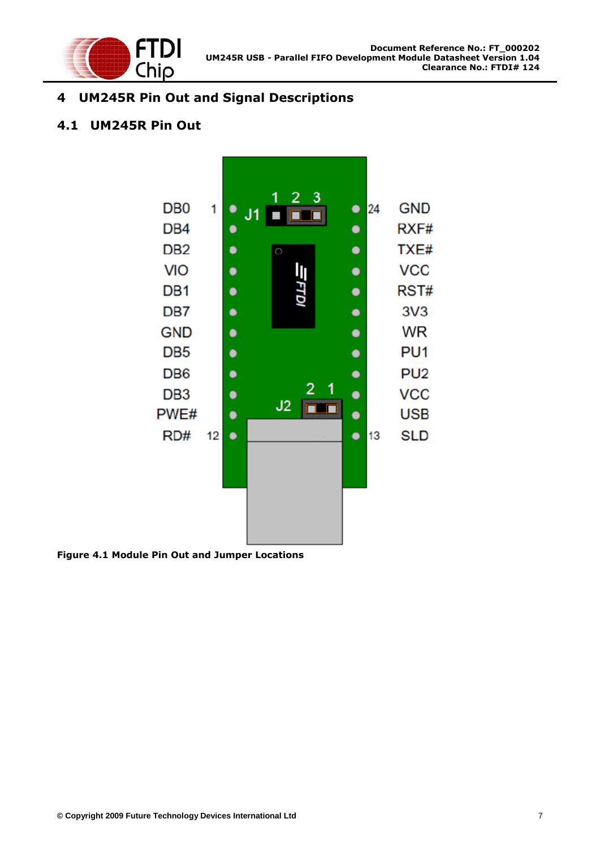

## <span id="page-7-0"></span>**4 UM245R Pin Out and Signal Descriptions**

## <span id="page-7-1"></span>**4.1 UM245R Pin Out**



<span id="page-7-2"></span>**Figure 4.1 Module Pin Out and Jumper Locations**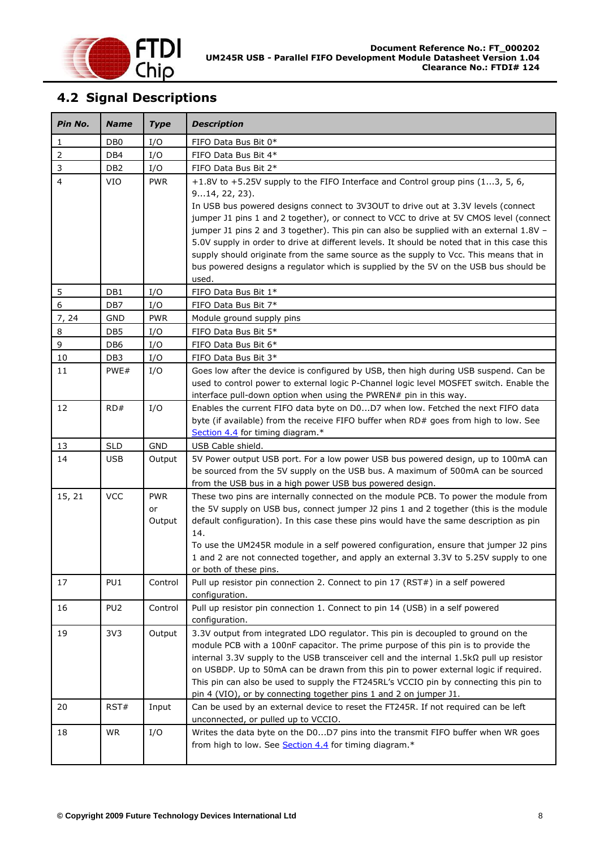

## <span id="page-8-0"></span>**4.2 Signal Descriptions**

| Pin No.        | <b>Name</b>     | <b>Type</b>  | <b>Description</b>                                                                                                                                                              |
|----------------|-----------------|--------------|---------------------------------------------------------------------------------------------------------------------------------------------------------------------------------|
| $\mathbf{1}$   | DB <sub>0</sub> | I/O          | FIFO Data Bus Bit 0*                                                                                                                                                            |
| $\overline{2}$ | DB4             | I/O          | FIFO Data Bus Bit 4*                                                                                                                                                            |
| $\mathsf 3$    | DB <sub>2</sub> | I/O          | FIFO Data Bus Bit 2*                                                                                                                                                            |
| $\overline{4}$ | <b>VIO</b>      | <b>PWR</b>   | +1.8V to +5.25V supply to the FIFO Interface and Control group pins (13, 5, 6,                                                                                                  |
|                |                 |              | $914, 22, 23$ .<br>In USB bus powered designs connect to 3V3OUT to drive out at 3.3V levels (connect                                                                            |
|                |                 |              | jumper J1 pins 1 and 2 together), or connect to VCC to drive at 5V CMOS level (connect                                                                                          |
|                |                 |              | jumper J1 pins 2 and 3 together). This pin can also be supplied with an external 1.8V -                                                                                         |
|                |                 |              | 5.0V supply in order to drive at different levels. It should be noted that in this case this                                                                                    |
|                |                 |              | supply should originate from the same source as the supply to Vcc. This means that in                                                                                           |
|                |                 |              | bus powered designs a regulator which is supplied by the 5V on the USB bus should be                                                                                            |
|                |                 |              | used.                                                                                                                                                                           |
| 5              | DB1             | I/O          | FIFO Data Bus Bit 1*                                                                                                                                                            |
| $6\phantom{a}$ | DB7             | I/O          | FIFO Data Bus Bit 7*                                                                                                                                                            |
| 7, 24          | <b>GND</b>      | <b>PWR</b>   | Module ground supply pins                                                                                                                                                       |
| 8              | DB <sub>5</sub> | I/O          | FIFO Data Bus Bit 5*                                                                                                                                                            |
| $\mathsf g$    | DB <sub>6</sub> | I/O          | FIFO Data Bus Bit 6*                                                                                                                                                            |
| 10             | DB <sub>3</sub> | I/O          | FIFO Data Bus Bit 3*                                                                                                                                                            |
| 11             | PWE#            | I/O          | Goes low after the device is configured by USB, then high during USB suspend. Can be                                                                                            |
|                |                 |              | used to control power to external logic P-Channel logic level MOSFET switch. Enable the                                                                                         |
|                |                 |              | interface pull-down option when using the PWREN# pin in this way.                                                                                                               |
| 12             | RD#             | I/O          | Enables the current FIFO data byte on D0D7 when low. Fetched the next FIFO data                                                                                                 |
|                |                 |              | byte (if available) from the receive FIFO buffer when RD# goes from high to low. See                                                                                            |
|                |                 |              | Section 4.4 for timing diagram.*                                                                                                                                                |
| 13             | <b>SLD</b>      | <b>GND</b>   | USB Cable shield.                                                                                                                                                               |
| 14             | <b>USB</b>      | Output       | 5V Power output USB port. For a low power USB bus powered design, up to 100mA can                                                                                               |
|                |                 |              | be sourced from the 5V supply on the USB bus. A maximum of 500mA can be sourced                                                                                                 |
|                |                 |              | from the USB bus in a high power USB bus powered design.                                                                                                                        |
| 15, 21         | <b>VCC</b>      | <b>PWR</b>   | These two pins are internally connected on the module PCB. To power the module from                                                                                             |
|                |                 | or<br>Output | the 5V supply on USB bus, connect jumper J2 pins 1 and 2 together (this is the module<br>default configuration). In this case these pins would have the same description as pin |
|                |                 |              | 14.                                                                                                                                                                             |
|                |                 |              | To use the UM245R module in a self powered configuration, ensure that jumper J2 pins                                                                                            |
|                |                 |              | 1 and 2 are not connected together, and apply an external 3.3V to 5.25V supply to one                                                                                           |
|                |                 |              | or both of these pins.                                                                                                                                                          |
| 17             | PU1             | Control      | Pull up resistor pin connection 2. Connect to pin 17 (RST#) in a self powered                                                                                                   |
|                |                 |              | configuration.                                                                                                                                                                  |
| 16             | PU <sub>2</sub> | Control      | Pull up resistor pin connection 1. Connect to pin 14 (USB) in a self powered<br>configuration.                                                                                  |
| 19             | 3V <sub>3</sub> | Output       | 3.3V output from integrated LDO regulator. This pin is decoupled to ground on the                                                                                               |
|                |                 |              | module PCB with a 100nF capacitor. The prime purpose of this pin is to provide the                                                                                              |
|                |                 |              | internal 3.3V supply to the USB transceiver cell and the internal $1.5k\Omega$ pull up resistor                                                                                 |
|                |                 |              | on USBDP. Up to 50mA can be drawn from this pin to power external logic if required.                                                                                            |
|                |                 |              | This pin can also be used to supply the FT245RL's VCCIO pin by connecting this pin to                                                                                           |
| 20             | RST#            | Input        | pin 4 (VIO), or by connecting together pins 1 and 2 on jumper J1.<br>Can be used by an external device to reset the FT245R. If not required can be left                         |
|                |                 |              | unconnected, or pulled up to VCCIO.                                                                                                                                             |
| 18             | <b>WR</b>       | I/O          | Writes the data byte on the D0D7 pins into the transmit FIFO buffer when WR goes                                                                                                |
|                |                 |              | from high to low. See Section 4.4 for timing diagram.*                                                                                                                          |
|                |                 |              |                                                                                                                                                                                 |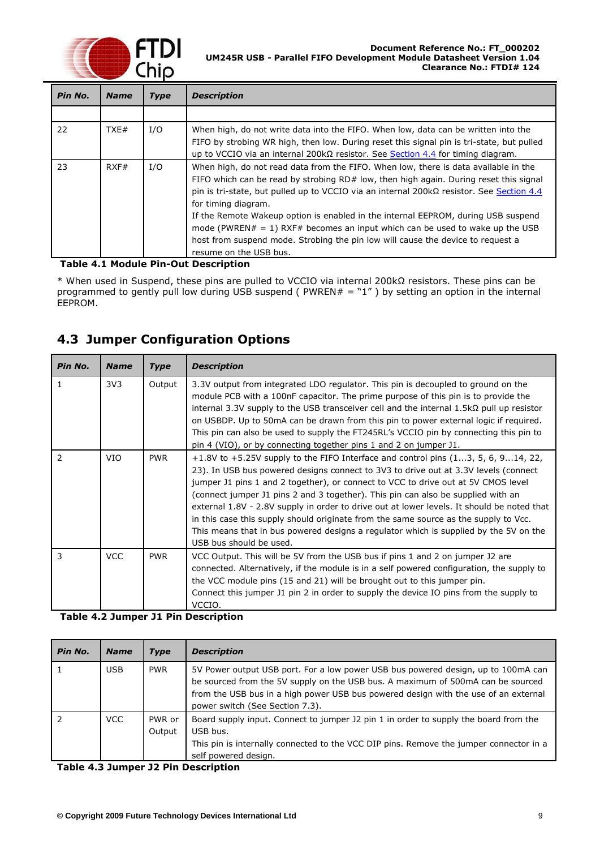

| Pin No. | <b>Name</b> | <b>Type</b> | <b>Description</b>                                                                                                                                                                                                                                                                                                                                                                                                                                                                                                                                                                         |
|---------|-------------|-------------|--------------------------------------------------------------------------------------------------------------------------------------------------------------------------------------------------------------------------------------------------------------------------------------------------------------------------------------------------------------------------------------------------------------------------------------------------------------------------------------------------------------------------------------------------------------------------------------------|
|         |             |             |                                                                                                                                                                                                                                                                                                                                                                                                                                                                                                                                                                                            |
| 22      | TXE#        | I/O         | When high, do not write data into the FIFO. When low, data can be written into the<br>FIFO by strobing WR high, then low. During reset this signal pin is tri-state, but pulled<br>up to VCCIO via an internal 200 k $\Omega$ resistor. See Section 4.4 for timing diagram.                                                                                                                                                                                                                                                                                                                |
| 23      | RXF#        | I/O         | When high, do not read data from the FIFO. When low, there is data available in the<br>FIFO which can be read by strobing $RD#$ low, then high again. During reset this signal<br>pin is tri-state, but pulled up to VCCIO via an internal $200k\Omega$ resistor. See Section 4.4<br>for timing diagram.<br>If the Remote Wakeup option is enabled in the internal EEPROM, during USB suspend<br>mode (PWREN# = 1) RXF# becomes an input which can be used to wake up the USB<br>host from suspend mode. Strobing the pin low will cause the device to request a<br>resume on the USB bus. |

#### <span id="page-9-1"></span>**Table 4.1 Module Pin-Out Description**

\* When used in Suspend, these pins are pulled to VCCIO via internal 200kΩ resistors. These pins can be programmed to gently pull low during USB suspend ( $PWREN# = "1"$ ) by setting an option in the internal EEPROM.

## <span id="page-9-0"></span>**4.3 Jumper Configuration Options**

| Pin No. | <b>Name</b>     | <b>Type</b> | <b>Description</b>                                                                                                                                                                                                                                                                                                                                                                                                                                                                                                                                                                                                                                            |
|---------|-----------------|-------------|---------------------------------------------------------------------------------------------------------------------------------------------------------------------------------------------------------------------------------------------------------------------------------------------------------------------------------------------------------------------------------------------------------------------------------------------------------------------------------------------------------------------------------------------------------------------------------------------------------------------------------------------------------------|
| 1       | 3V <sub>3</sub> | Output      | 3.3V output from integrated LDO regulator. This pin is decoupled to ground on the<br>module PCB with a 100nF capacitor. The prime purpose of this pin is to provide the<br>internal 3.3V supply to the USB transceiver cell and the internal 1.5k $\Omega$ pull up resistor<br>on USBDP. Up to 50mA can be drawn from this pin to power external logic if required.<br>This pin can also be used to supply the FT245RL's VCCIO pin by connecting this pin to<br>pin 4 (VIO), or by connecting together pins 1 and 2 on jumper J1.                                                                                                                             |
| 2       | <b>VIO</b>      | <b>PWR</b>  | +1.8V to +5.25V supply to the FIFO Interface and control pins $(13, 5, 6, 914, 22,$<br>23). In USB bus powered designs connect to 3V3 to drive out at 3.3V levels (connect<br>jumper J1 pins 1 and 2 together), or connect to VCC to drive out at 5V CMOS level<br>(connect jumper J1 pins 2 and 3 together). This pin can also be supplied with an<br>external 1.8V - 2.8V supply in order to drive out at lower levels. It should be noted that<br>in this case this supply should originate from the same source as the supply to Vcc.<br>This means that in bus powered designs a regulator which is supplied by the 5V on the<br>USB bus should be used. |
| 3       | <b>VCC</b>      | <b>PWR</b>  | VCC Output. This will be 5V from the USB bus if pins 1 and 2 on jumper J2 are<br>connected. Alternatively, if the module is in a self powered configuration, the supply to<br>the VCC module pins (15 and 21) will be brought out to this jumper pin.<br>Connect this jumper J1 pin 2 in order to supply the device IO pins from the supply to<br>VCCIO.                                                                                                                                                                                                                                                                                                      |

#### <span id="page-9-2"></span>**Table 4.2 Jumper J1 Pin Description**

| Pin No. | <b>Name</b> | Type             | <b>Description</b>                                                                                                                                                                                                                                                                             |
|---------|-------------|------------------|------------------------------------------------------------------------------------------------------------------------------------------------------------------------------------------------------------------------------------------------------------------------------------------------|
|         | USB.        | <b>PWR</b>       | 5V Power output USB port. For a low power USB bus powered design, up to 100mA can<br>be sourced from the 5V supply on the USB bus. A maximum of 500mA can be sourced<br>from the USB bus in a high power USB bus powered design with the use of an external<br>power switch (See Section 7.3). |
|         | <b>VCC</b>  | PWR or<br>Output | Board supply input. Connect to jumper J2 pin 1 in order to supply the board from the<br>USB bus.<br>This pin is internally connected to the VCC DIP pins. Remove the jumper connector in a<br>self powered design.                                                                             |

<span id="page-9-3"></span>**Table 4.3 Jumper J2 Pin Description**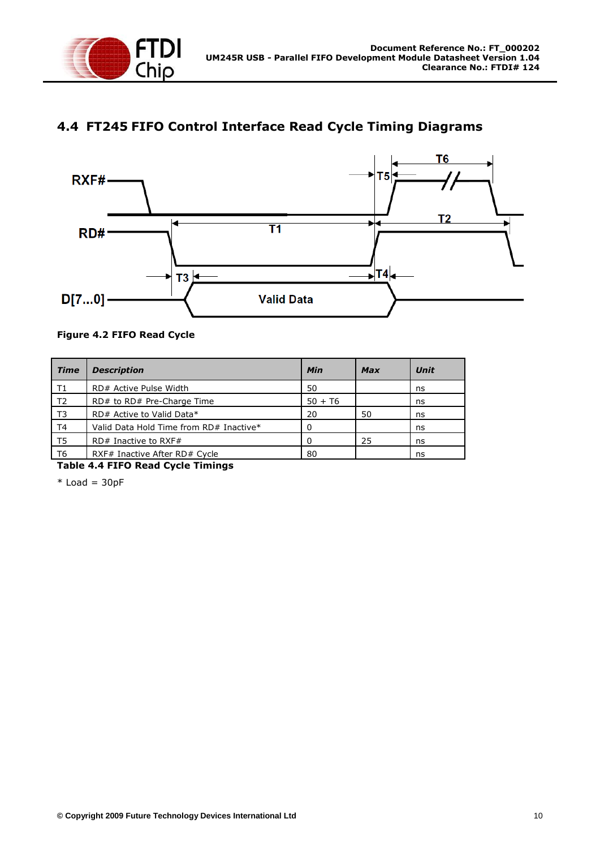

## <span id="page-10-0"></span>**4.4 FT245 FIFO Control Interface Read Cycle Timing Diagrams**



#### <span id="page-10-2"></span>**Figure 4.2 FIFO Read Cycle**

| <b>Time</b>    | <b>Description</b>                      | Min          | <b>Max</b> | <b>Unit</b> |
|----------------|-----------------------------------------|--------------|------------|-------------|
| T1             | RD# Active Pulse Width                  | 50           |            | ns          |
| T <sub>2</sub> | RD# to RD# Pre-Charge Time              | $50 + 76$    |            | ns          |
| T3             | RD# Active to Valid Data*               | 20           | 50         | ns          |
| T <sub>4</sub> | Valid Data Hold Time from RD# Inactive* | 0            |            | ns          |
| T5             | $RD#$ Inactive to RXF#                  | <sup>0</sup> | 25         | ns          |
| T6             | RXF# Inactive After RD# Cycle           | 80           |            | ns          |

<span id="page-10-1"></span>**Table 4.4 FIFO Read Cycle Timings**

 $*$  Load = 30pF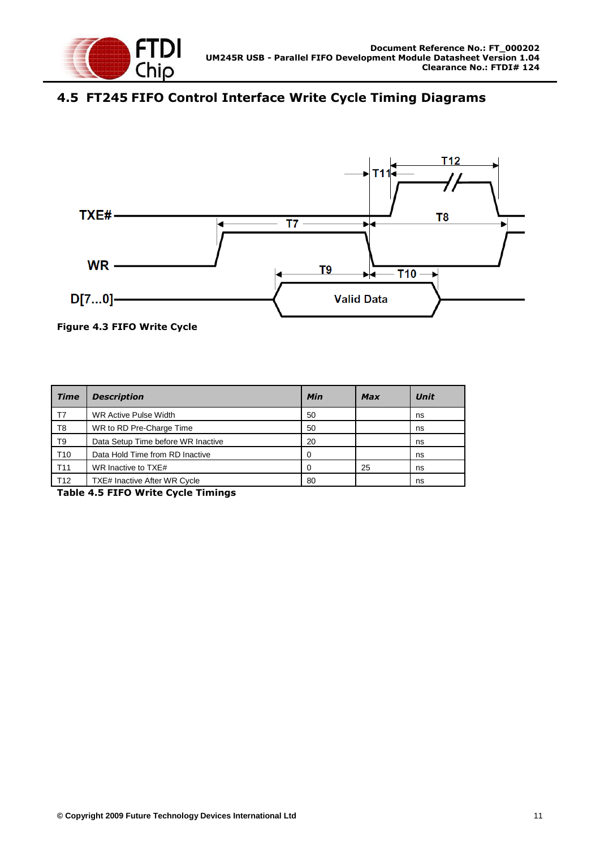

## <span id="page-11-0"></span>**4.5 FT245 FIFO Control Interface Write Cycle Timing Diagrams**



<span id="page-11-2"></span>**Figure 4.3 FIFO Write Cycle**

| <b>Time</b>     | <b>Description</b>                  | Min | <b>Max</b> | Unit |
|-----------------|-------------------------------------|-----|------------|------|
| T7              | <b>WR Active Pulse Width</b>        | 50  |            | ns   |
| T8              | WR to RD Pre-Charge Time            | 50  |            | ns   |
| T9              | Data Setup Time before WR Inactive  | 20  |            | ns   |
| T <sub>10</sub> | Data Hold Time from RD Inactive     | 0   |            | ns   |
| T <sub>11</sub> | WR Inactive to TXE#                 | ∩   | 25         | ns   |
| T <sub>12</sub> | <b>TXE# Inactive After WR Cycle</b> | 80  |            | ns   |

<span id="page-11-1"></span>**Table 4.5 FIFO Write Cycle Timings**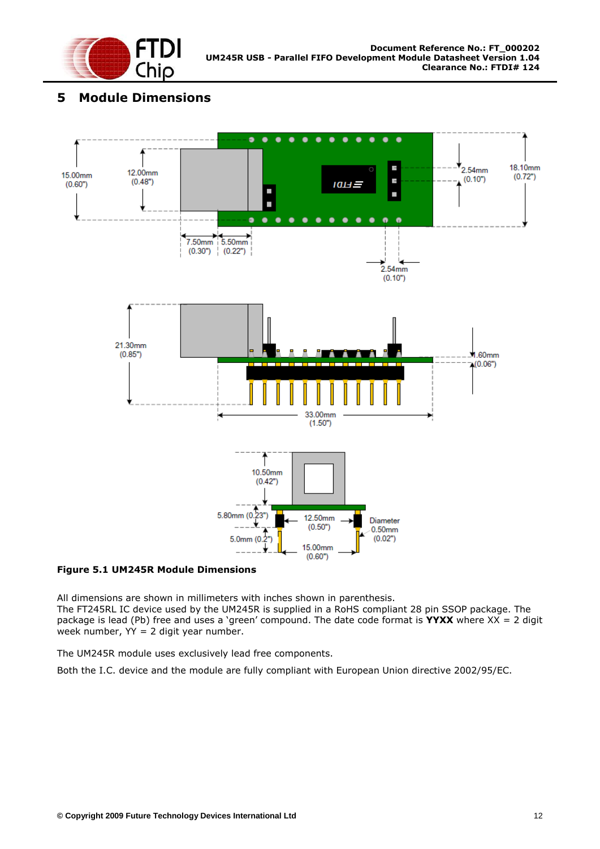

## <span id="page-12-0"></span>**5 Module Dimensions**



#### <span id="page-12-1"></span>**Figure 5.1 UM245R Module Dimensions**

All dimensions are shown in millimeters with inches shown in parenthesis.

The FT245RL IC device used by the UM245R is supplied in a RoHS compliant 28 pin SSOP package. The package is lead (Pb) free and uses a "green" compound. The date code format is **YYXX** where XX = 2 digit week number, YY = 2 digit year number.

The UM245R module uses exclusively lead free components.

Both the I.C. device and the module are fully compliant with European Union directive 2002/95/EC.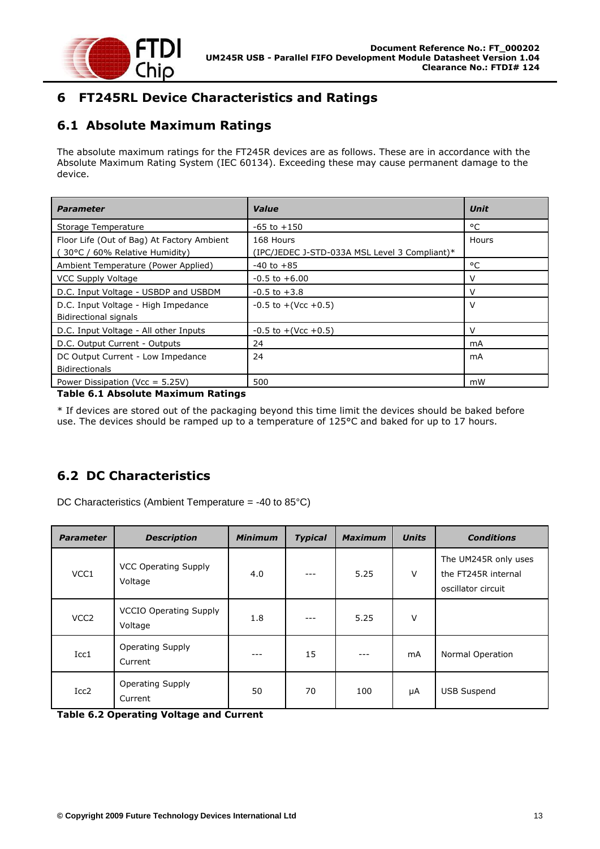

## <span id="page-13-0"></span>**6 FT245RL Device Characteristics and Ratings**

## <span id="page-13-1"></span>**6.1 Absolute Maximum Ratings**

The absolute maximum ratings for the FT245R devices are as follows. These are in accordance with the Absolute Maximum Rating System (IEC 60134). Exceeding these may cause permanent damage to the device.

| <b>Parameter</b>                                                            | Value                                                      | <b>Unit</b> |
|-----------------------------------------------------------------------------|------------------------------------------------------------|-------------|
| Storage Temperature                                                         | $-65$ to $+150$                                            | °C          |
| Floor Life (Out of Bag) At Factory Ambient<br>30°C / 60% Relative Humidity) | 168 Hours<br>(IPC/JEDEC J-STD-033A MSL Level 3 Compliant)* | Hours       |
| Ambient Temperature (Power Applied)                                         | $-40$ to $+85$                                             | °C          |
| <b>VCC Supply Voltage</b>                                                   | $-0.5$ to $+6.00$                                          | v           |
| D.C. Input Voltage - USBDP and USBDM                                        | $-0.5$ to $+3.8$                                           | v           |
| D.C. Input Voltage - High Impedance<br><b>Bidirectional signals</b>         | $-0.5$ to $+($ Vcc $+0.5)$                                 | v           |
| D.C. Input Voltage - All other Inputs                                       | $-0.5$ to $+($ Vcc $+0.5)$                                 | v           |
| D.C. Output Current - Outputs                                               | 24                                                         | mA          |
| DC Output Current - Low Impedance<br><b>Bidirectionals</b>                  | 24                                                         | mA          |
| Power Dissipation (Vcc = $5.25V$ )                                          | 500                                                        | mW          |

#### <span id="page-13-3"></span>**Table 6.1 Absolute Maximum Ratings**

\* If devices are stored out of the packaging beyond this time limit the devices should be baked before use. The devices should be ramped up to a temperature of 125°C and baked for up to 17 hours.

## <span id="page-13-2"></span>**6.2 DC Characteristics**

DC Characteristics (Ambient Temperature = -40 to 85°C)

| <b>Parameter</b> | <b>Description</b>                       | <b>Minimum</b> | <b>Typical</b> | <b>Maximum</b> | <b>Units</b> | <b>Conditions</b>                                                 |
|------------------|------------------------------------------|----------------|----------------|----------------|--------------|-------------------------------------------------------------------|
| VCC1             | <b>VCC Operating Supply</b><br>Voltage   | 4.0            |                | 5.25           | V            | The UM245R only uses<br>the FT245R internal<br>oscillator circuit |
| VCC <sub>2</sub> | <b>VCCIO Operating Supply</b><br>Voltage | 1.8            | ---            | 5.25           | V            |                                                                   |
| Icc1             | Operating Supply<br>Current              |                | 15             |                | mA           | Normal Operation                                                  |
| Icc <sub>2</sub> | <b>Operating Supply</b><br>Current       | 50             | 70             | 100            | μA           | <b>USB Suspend</b>                                                |

<span id="page-13-4"></span>**Table 6.2 Operating Voltage and Current**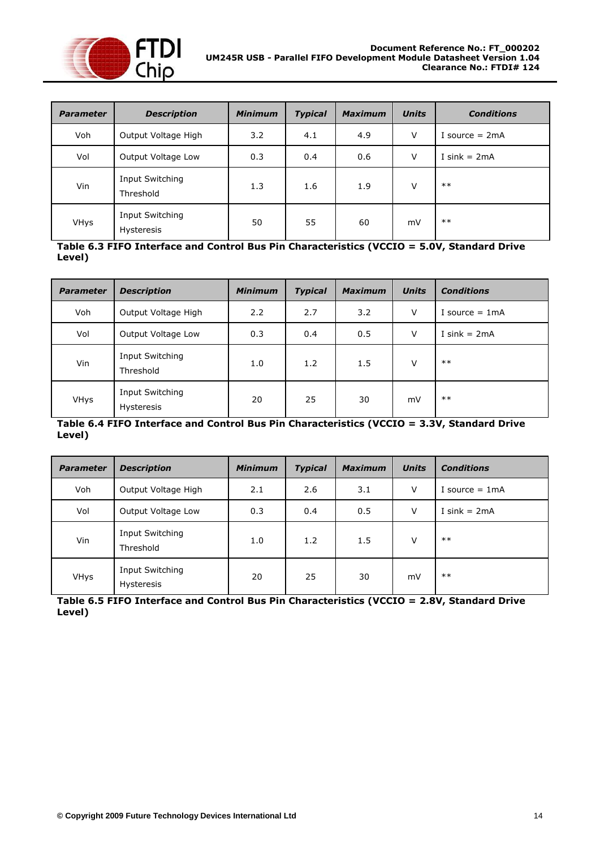

| <b>Parameter</b> | <b>Description</b>                          | <b>Minimum</b> | <b>Typical</b> | <b>Maximum</b> | <b>Units</b> | <b>Conditions</b> |
|------------------|---------------------------------------------|----------------|----------------|----------------|--------------|-------------------|
| Voh              | Output Voltage High                         | 3.2            | 4.1            | 4.9            | V            | I source $= 2mA$  |
| Vol              | Output Voltage Low                          | 0.3            | 0.4            | 0.6            | ٧            | I sink = $2mA$    |
| Vin              | <b>Input Switching</b><br>Threshold         | 1.3            | 1.6            | 1.9            | v            | $***$             |
| <b>VHys</b>      | <b>Input Switching</b><br><b>Hysteresis</b> | 50             | 55             | 60             | mV           | $***$             |

<span id="page-14-0"></span>**Table 6.3 FIFO Interface and Control Bus Pin Characteristics (VCCIO = 5.0V, Standard Drive Level)**

| <b>Parameter</b> | <b>Description</b>                   | <b>Minimum</b> | <b>Typical</b> | <b>Maximum</b> | <b>Units</b> | <b>Conditions</b> |
|------------------|--------------------------------------|----------------|----------------|----------------|--------------|-------------------|
| Voh              | Output Voltage High                  | 2.2            | 2.7            | 3.2            | $\vee$       | I source $= 1mA$  |
| Vol              | Output Voltage Low                   | 0.3            | 0.4            | 0.5            | V            | I sink $= 2mA$    |
| Vin              | Input Switching<br>Threshold         | 1.0            | 1.2            | 1.5            | v            | $***$             |
| VHys             | Input Switching<br><b>Hysteresis</b> | 20             | 25             | 30             | mV           | $***$             |

#### <span id="page-14-1"></span>**Table 6.4 FIFO Interface and Control Bus Pin Characteristics (VCCIO = 3.3V, Standard Drive Level)**

| <b>Parameter</b> | <b>Description</b>            | <b>Minimum</b> | <b>Typical</b> | <b>Maximum</b> | <b>Units</b> | <b>Conditions</b> |
|------------------|-------------------------------|----------------|----------------|----------------|--------------|-------------------|
| Voh              | Output Voltage High           | 2.1            | 2.6            | 3.1            | v            | I source $= 1mA$  |
| Vol              | Output Voltage Low            | 0.3            | 0.4            | 0.5            | V            | I sink = $2mA$    |
| Vin              | Input Switching<br>Threshold  | 1.0            | 1.2            | 1.5            | V            | $**$              |
| <b>VHys</b>      | Input Switching<br>Hysteresis | 20             | 25             | 30             | mV           | $***$             |

<span id="page-14-2"></span>**Table 6.5 FIFO Interface and Control Bus Pin Characteristics (VCCIO = 2.8V, Standard Drive Level)**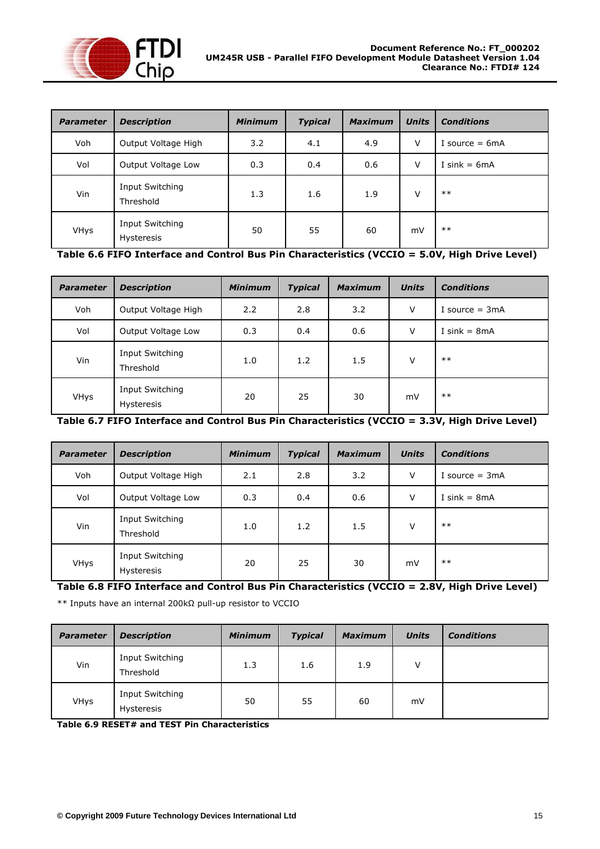

| <b>Parameter</b> | <b>Description</b>                   | <b>Minimum</b> | <b>Typical</b> | <b>Maximum</b> | <b>Units</b> | <b>Conditions</b> |
|------------------|--------------------------------------|----------------|----------------|----------------|--------------|-------------------|
| Voh              | Output Voltage High                  | 3.2            | 4.1            | 4.9            | V            | I source $= 6mA$  |
| Vol              | Output Voltage Low                   | 0.3            | 0.4            | 0.6            | v            | I sink = $6mA$    |
| Vin              | Input Switching<br>Threshold         | 1.3            | 1.6            | 1.9            | v            | $***$             |
| <b>VHys</b>      | Input Switching<br><b>Hysteresis</b> | 50             | 55             | 60             | mV           | $***$             |

<span id="page-15-0"></span>**Table 6.6 FIFO Interface and Control Bus Pin Characteristics (VCCIO = 5.0V, High Drive Level)**

| <b>Parameter</b> | <b>Description</b>            | <b>Minimum</b> | <b>Typical</b> | <b>Maximum</b> | <b>Units</b> | <b>Conditions</b> |
|------------------|-------------------------------|----------------|----------------|----------------|--------------|-------------------|
| Voh              | Output Voltage High           | 2.2            | 2.8            | 3.2            | V            | I source $= 3mA$  |
| Vol              | Output Voltage Low            | 0.3            | 0.4            | 0.6            | $\vee$       | I sink = $8mA$    |
| Vin              | Input Switching<br>Threshold  | 1.0            | 1.2            | 1.5            | $\vee$       | $***$             |
| <b>VHys</b>      | Input Switching<br>Hysteresis | 20             | 25             | 30             | mV           | $***$             |

<span id="page-15-1"></span>**Table 6.7 FIFO Interface and Control Bus Pin Characteristics (VCCIO = 3.3V, High Drive Level)**

| <b>Parameter</b> | <b>Description</b>                          | <b>Minimum</b> | <b>Typical</b> | <b>Maximum</b> | <b>Units</b> | <b>Conditions</b> |
|------------------|---------------------------------------------|----------------|----------------|----------------|--------------|-------------------|
| Voh              | Output Voltage High                         | 2.1            | 2.8            | 3.2            | V            | I source $= 3mA$  |
| Vol              | Output Voltage Low                          | 0.3            | 0.4            | 0.6            | V            | I sink = $8mA$    |
| Vin              | <b>Input Switching</b><br>Threshold         | 1.0            | 1.2            | 1.5            | v            | $***$             |
| <b>VHys</b>      | <b>Input Switching</b><br><b>Hysteresis</b> | 20             | 25             | 30             | mV           | $***$             |

<span id="page-15-2"></span>**Table 6.8 FIFO Interface and Control Bus Pin Characteristics (VCCIO = 2.8V, High Drive Level)**

\*\* Inputs have an internal 200kΩ pull-up resistor to VCCIO

| <b>Parameter</b> | <b>Description</b>            | <b>Minimum</b> | <b>Typical</b> | <b>Maximum</b> | <b>Units</b> | <b>Conditions</b> |
|------------------|-------------------------------|----------------|----------------|----------------|--------------|-------------------|
| Vin              | Input Switching<br>Threshold  | 1.3            | 1.6            | 1.9            | V            |                   |
| <b>VHys</b>      | Input Switching<br>Hysteresis | 50             | 55             | 60             | mV           |                   |

<span id="page-15-3"></span>**Table 6.9 RESET# and TEST Pin Characteristics**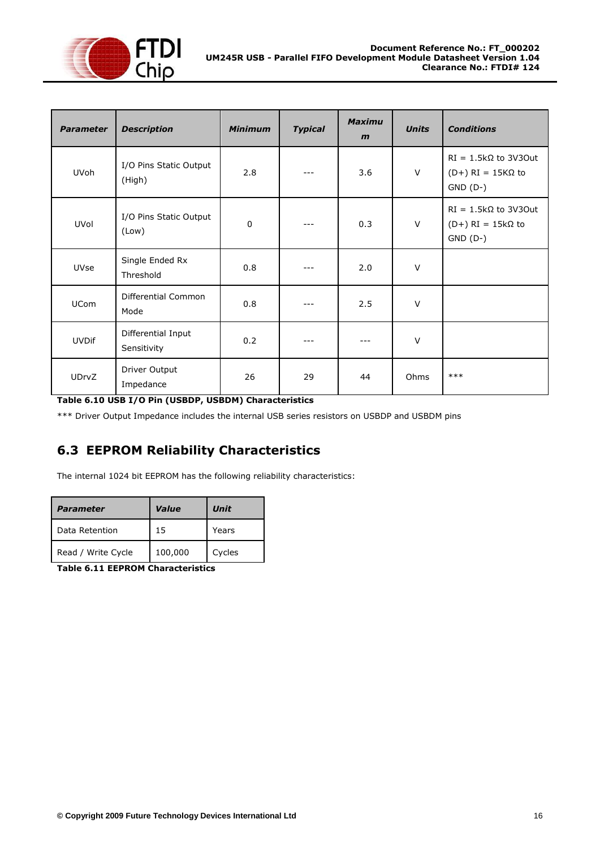

| <b>Parameter</b> | <b>Description</b>                | <b>Minimum</b> | <b>Typical</b> | <b>Maximu</b><br>$\mathbf{m}$ | <b>Units</b> | <b>Conditions</b>                                                     |
|------------------|-----------------------------------|----------------|----------------|-------------------------------|--------------|-----------------------------------------------------------------------|
| <b>UVoh</b>      | I/O Pins Static Output<br>(High)  | 2.8            |                | 3.6                           | $\vee$       | $RI = 1.5k\Omega$ to 3V30ut<br>$(D+) RI = 15K\Omega$ to<br>$GND (D-)$ |
| UVol             | I/O Pins Static Output<br>(Low)   | $\mathbf 0$    |                | 0.3                           | $\vee$       | $RI = 1.5k\Omega$ to 3V30ut<br>$(D+) RI = 15k\Omega$ to<br>$GND (D-)$ |
| <b>UVse</b>      | Single Ended Rx<br>Threshold      | 0.8            |                | 2.0                           | $\vee$       |                                                                       |
| <b>UCom</b>      | Differential Common<br>Mode       | 0.8            |                | 2.5                           | $\vee$       |                                                                       |
| <b>UVDif</b>     | Differential Input<br>Sensitivity | 0.2            |                | ---                           | $\vee$       |                                                                       |
| <b>UDrvZ</b>     | Driver Output<br>Impedance        | 26             | 29             | 44                            | Ohms         | $***$                                                                 |

<span id="page-16-1"></span>**Table 6.10 USB I/O Pin (USBDP, USBDM) Characteristics**

\*\*\* Driver Output Impedance includes the internal USB series resistors on USBDP and USBDM pins

## <span id="page-16-0"></span>**6.3 EEPROM Reliability Characteristics**

The internal 1024 bit EEPROM has the following reliability characteristics:

| <b>Parameter</b>   | Value   | Unit   |
|--------------------|---------|--------|
| Data Retention     | 15      | Years  |
| Read / Write Cycle | 100,000 | Cycles |

<span id="page-16-2"></span>**Table 6.11 EEPROM Characteristics**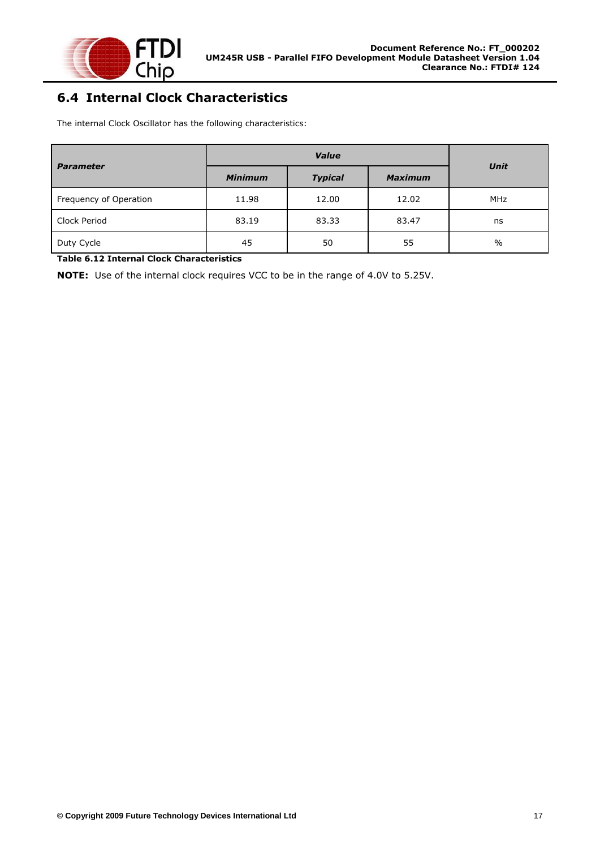

## <span id="page-17-0"></span>**6.4 Internal Clock Characteristics**

The internal Clock Oscillator has the following characteristics:

| <b>Parameter</b>       | <b>Minimum</b><br><b>Typical</b> |       | <b>Maximum</b> | Unit          |  |
|------------------------|----------------------------------|-------|----------------|---------------|--|
| Frequency of Operation | 11.98                            | 12.00 | 12.02          | <b>MHz</b>    |  |
| Clock Period           | 83.19                            | 83.33 | 83.47          | ns            |  |
| Duty Cycle             | 45                               | 50    | 55             | $\frac{0}{0}$ |  |

#### <span id="page-17-1"></span>**Table 6.12 Internal Clock Characteristics**

**NOTE:** Use of the internal clock requires VCC to be in the range of 4.0V to 5.25V.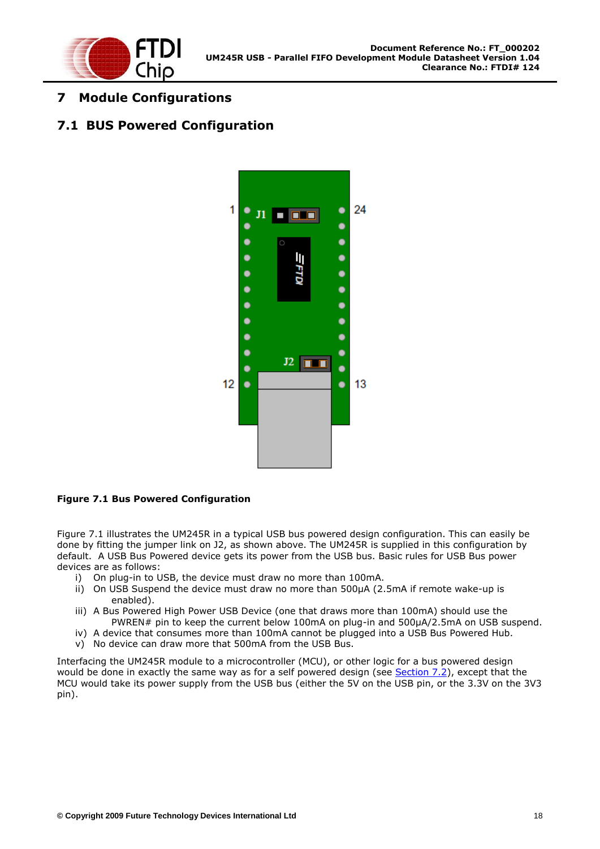

## <span id="page-18-0"></span>**7 Module Configurations**

#### <span id="page-18-1"></span>**7.1 BUS Powered Configuration**



#### <span id="page-18-2"></span>**Figure 7.1 Bus Powered Configuration**

Figure 7.1 illustrates the UM245R in a typical USB bus powered design configuration. This can easily be done by fitting the jumper link on J2, as shown above. The UM245R is supplied in this configuration by default. A USB Bus Powered device gets its power from the USB bus. Basic rules for USB Bus power devices are as follows:

- i) On plug-in to USB, the device must draw no more than 100mA.
- ii) On USB Suspend the device must draw no more than 500μA (2.5mA if remote wake-up is enabled).
- iii) A Bus Powered High Power USB Device (one that draws more than 100mA) should use the PWREN# pin to keep the current below 100mA on plug-in and 500μA/2.5mA on USB suspend.
- iv) A device that consumes more than 100mA cannot be plugged into a USB Bus Powered Hub.
- v) No device can draw more that 500mA from the USB Bus.

Interfacing the UM245R module to a microcontroller (MCU), or other logic for a bus powered design would be done in exactly the same way as for a self powered design (see [Section 7.2\)](#page-19-0), except that the MCU would take its power supply from the USB bus (either the 5V on the USB pin, or the 3.3V on the 3V3 pin).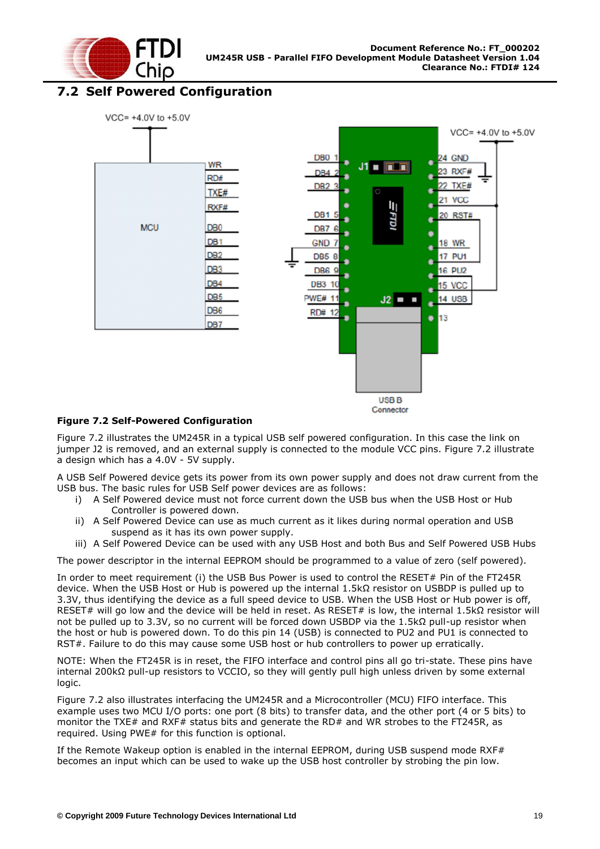

#### <span id="page-19-0"></span>**7.2 Self Powered Configuration**



#### <span id="page-19-1"></span>**Figure 7.2 Self-Powered Configuration**

Figure 7.2 illustrates the UM245R in a typical USB self powered configuration. In this case the link on jumper J2 is removed, and an external supply is connected to the module VCC pins. Figure 7.2 illustrate a design which has a 4.0V - 5V supply.

A USB Self Powered device gets its power from its own power supply and does not draw current from the USB bus. The basic rules for USB Self power devices are as follows:

- i) A Self Powered device must not force current down the USB bus when the USB Host or Hub Controller is powered down.
- ii) A Self Powered Device can use as much current as it likes during normal operation and USB suspend as it has its own power supply.
- iii) A Self Powered Device can be used with any USB Host and both Bus and Self Powered USB Hubs

The power descriptor in the internal EEPROM should be programmed to a value of zero (self powered).

In order to meet requirement (i) the USB Bus Power is used to control the RESET# Pin of the FT245R device. When the USB Host or Hub is powered up the internal 1.5kΩ resistor on USBDP is pulled up to 3.3V, thus identifying the device as a full speed device to USB. When the USB Host or Hub power is off, RESET# will go low and the device will be held in reset. As RESET# is low, the internal 1.5kΩ resistor will not be pulled up to 3.3V, so no current will be forced down USBDP via the 1.5kΩ pull-up resistor when the host or hub is powered down. To do this pin 14 (USB) is connected to PU2 and PU1 is connected to RST#. Failure to do this may cause some USB host or hub controllers to power up erratically.

NOTE: When the FT245R is in reset, the FIFO interface and control pins all go tri-state. These pins have internal 200kΩ pull-up resistors to VCCIO, so they will gently pull high unless driven by some external logic.

Figure 7.2 also illustrates interfacing the UM245R and a Microcontroller (MCU) FIFO interface. This example uses two MCU I/O ports: one port (8 bits) to transfer data, and the other port (4 or 5 bits) to monitor the TXE# and RXF# status bits and generate the RD# and WR strobes to the FT245R, as required. Using PWE# for this function is optional.

If the Remote Wakeup option is enabled in the internal EEPROM, during USB suspend mode RXF# becomes an input which can be used to wake up the USB host controller by strobing the pin low.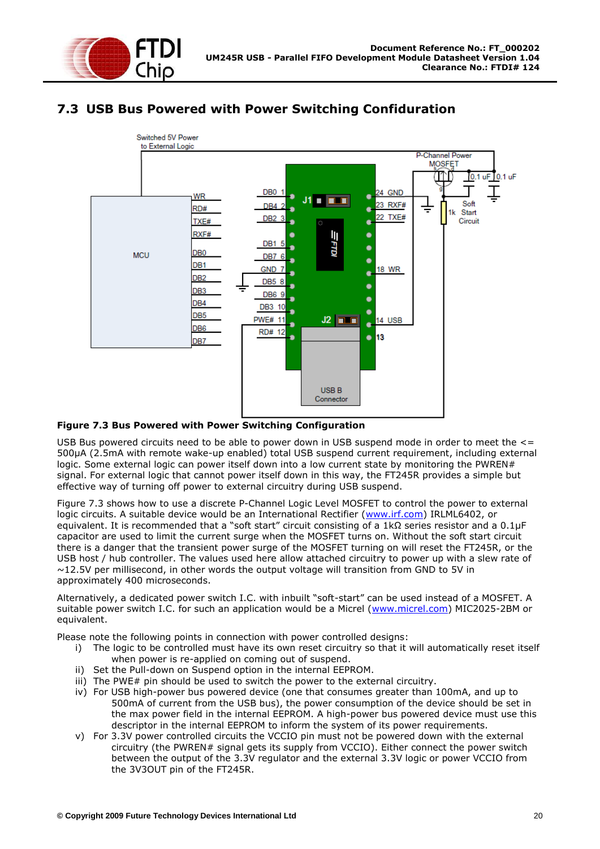

## <span id="page-20-0"></span>**7.3 USB Bus Powered with Power Switching Confiduration**



#### <span id="page-20-1"></span>**Figure 7.3 Bus Powered with Power Switching Configuration**

USB Bus powered circuits need to be able to power down in USB suspend mode in order to meet the  $\leq$ 500μA (2.5mA with remote wake-up enabled) total USB suspend current requirement, including external logic. Some external logic can power itself down into a low current state by monitoring the PWREN# signal. For external logic that cannot power itself down in this way, the FT245R provides a simple but effective way of turning off power to external circuitry during USB suspend.

Figure 7.3 shows how to use a discrete P-Channel Logic Level MOSFET to control the power to external logic circuits. A suitable device would be an International Rectifier [\(www.irf.com\)](http://www.irf.com/) IRLML6402, or equivalent. It is recommended that a "soft start" circuit consisting of a 1kΩ series resistor and a 0.1μF capacitor are used to limit the current surge when the MOSFET turns on. Without the soft start circuit there is a danger that the transient power surge of the MOSFET turning on will reset the FT245R, or the USB host / hub controller. The values used here allow attached circuitry to power up with a slew rate of  $\sim$ 12.5V per millisecond, in other words the output voltage will transition from GND to 5V in approximately 400 microseconds.

Alternatively, a dedicated power switch I.C. with inbuilt "soft-start" can be used instead of a MOSFET. A suitable power switch I.C. for such an application would be a Micrel [\(www.micrel.com\)](http://www.micrel.com/) MIC2025-2BM or equivalent.

Please note the following points in connection with power controlled designs:

- i) The logic to be controlled must have its own reset circuitry so that it will automatically reset itself when power is re-applied on coming out of suspend.
- ii) Set the Pull-down on Suspend option in the internal EEPROM.
- iii) The PWE# pin should be used to switch the power to the external circuitry.
- iv) For USB high-power bus powered device (one that consumes greater than 100mA, and up to 500mA of current from the USB bus), the power consumption of the device should be set in the max power field in the internal EEPROM. A high-power bus powered device must use this descriptor in the internal EEPROM to inform the system of its power requirements.
- v) For 3.3V power controlled circuits the VCCIO pin must not be powered down with the external circuitry (the PWREN# signal gets its supply from VCCIO). Either connect the power switch between the output of the 3.3V regulator and the external 3.3V logic or power VCCIO from the 3V3OUT pin of the FT245R.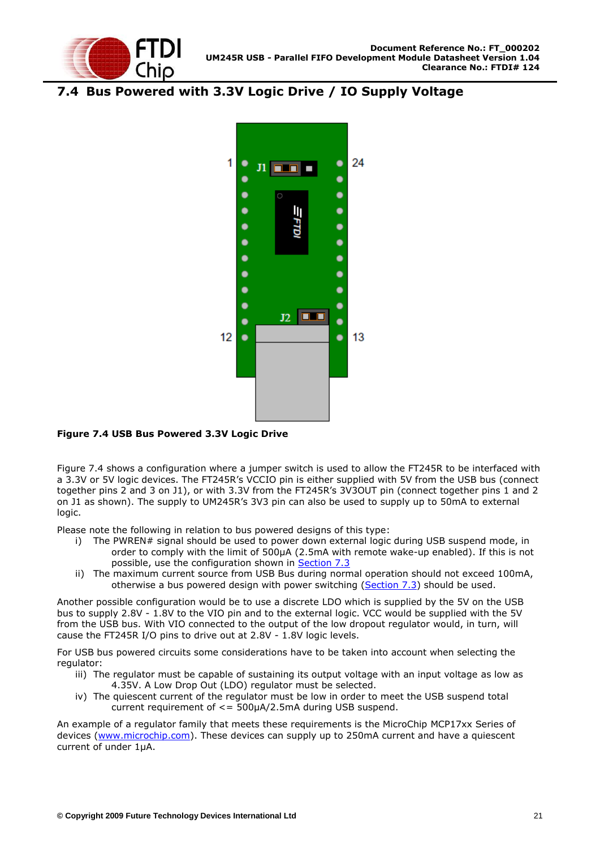

## <span id="page-21-0"></span>**7.4 Bus Powered with 3.3V Logic Drive / IO Supply Voltage**



#### <span id="page-21-1"></span>**Figure 7.4 USB Bus Powered 3.3V Logic Drive**

Figure 7.4 shows a configuration where a jumper switch is used to allow the FT245R to be interfaced with a 3.3V or 5V logic devices. The FT245R"s VCCIO pin is either supplied with 5V from the USB bus (connect together pins 2 and 3 on J1), or with 3.3V from the FT245R"s 3V3OUT pin (connect together pins 1 and 2 on J1 as shown). The supply to UM245R's 3V3 pin can also be used to supply up to 50mA to external logic.

Please note the following in relation to bus powered designs of this type:

- i) The PWREN# signal should be used to power down external logic during USB suspend mode, in order to comply with the limit of 500μA (2.5mA with remote wake-up enabled). If this is not possible, use the configuration shown in [Section 7.3](#page-20-0)
- ii) The maximum current source from USB Bus during normal operation should not exceed 100mA, otherwise a bus powered design with power switching [\(Section 7.3\)](#page-20-0) should be used.

Another possible configuration would be to use a discrete LDO which is supplied by the 5V on the USB bus to supply 2.8V - 1.8V to the VIO pin and to the external logic. VCC would be supplied with the 5V from the USB bus. With VIO connected to the output of the low dropout regulator would, in turn, will cause the FT245R I/O pins to drive out at 2.8V - 1.8V logic levels.

For USB bus powered circuits some considerations have to be taken into account when selecting the regulator:

- iii) The regulator must be capable of sustaining its output voltage with an input voltage as low as 4.35V. A Low Drop Out (LDO) regulator must be selected.
- iv) The quiescent current of the regulator must be low in order to meet the USB suspend total current requirement of <= 500μA/2.5mA during USB suspend.

An example of a regulator family that meets these requirements is the MicroChip MCP17xx Series of devices [\(www.microchip.com\)](http://www.microchip.com/). These devices can supply up to 250mA current and have a quiescent current of under 1μA.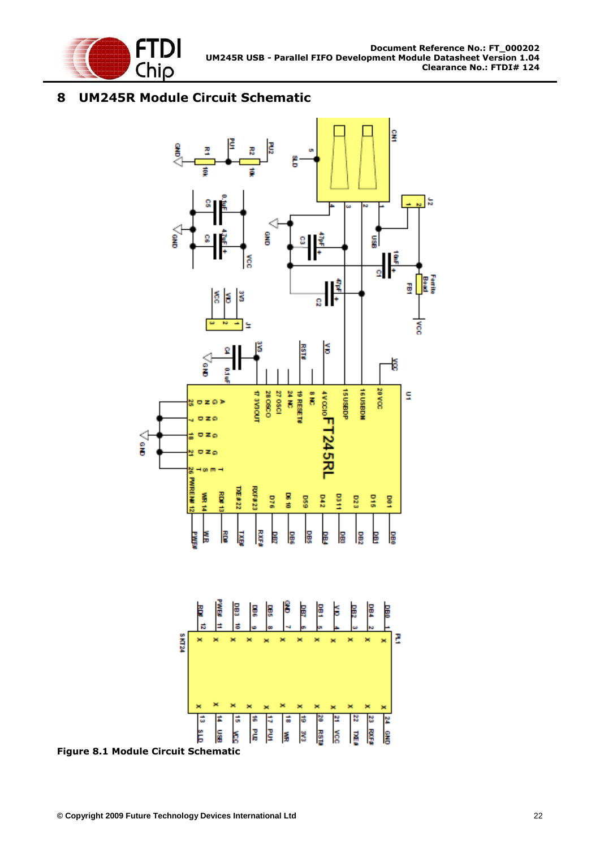

## <span id="page-22-0"></span>**8 UM245R Module Circuit Schematic**



<span id="page-22-1"></span>**Figure 8.1 Module Circuit Schematic**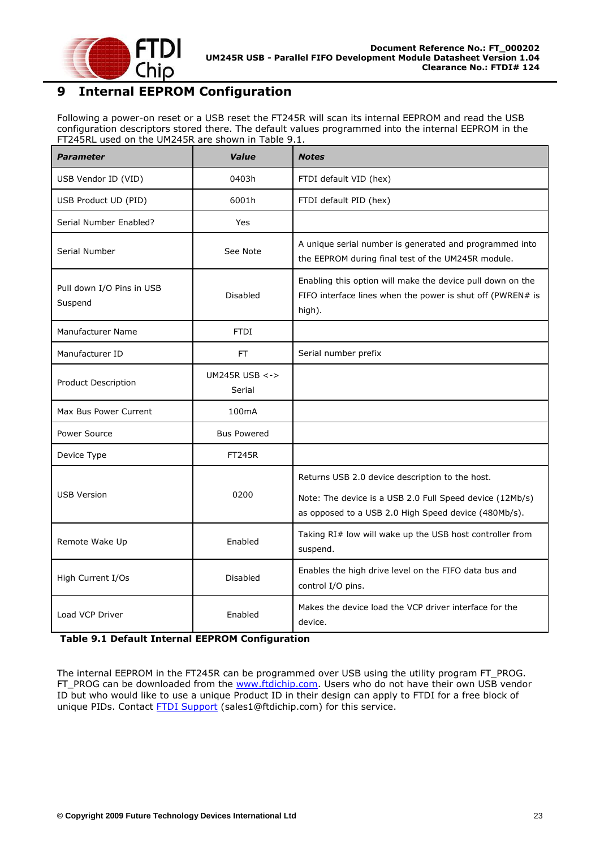

## <span id="page-23-0"></span>**9 Internal EEPROM Configuration**

Following a power-on reset or a USB reset the FT245R will scan its internal EEPROM and read the USB configuration descriptors stored there. The default values programmed into the internal EEPROM in the FT245RL used on the UM245R are shown in Table 9.1.

| <b>Parameter</b>                     | Value                         | <b>Notes</b>                                                                                                                                                        |
|--------------------------------------|-------------------------------|---------------------------------------------------------------------------------------------------------------------------------------------------------------------|
| USB Vendor ID (VID)                  | 0403h                         | FTDI default VID (hex)                                                                                                                                              |
| USB Product UD (PID)                 | 6001h                         | FTDI default PID (hex)                                                                                                                                              |
| Serial Number Enabled?               | Yes                           |                                                                                                                                                                     |
| Serial Number                        | See Note                      | A unique serial number is generated and programmed into<br>the EEPROM during final test of the UM245R module.                                                       |
| Pull down I/O Pins in USB<br>Suspend | <b>Disabled</b>               | Enabling this option will make the device pull down on the<br>FIFO interface lines when the power is shut off (PWREN# is<br>high).                                  |
| Manufacturer Name                    | <b>FTDI</b>                   |                                                                                                                                                                     |
| Manufacturer ID                      | FT.                           | Serial number prefix                                                                                                                                                |
| Product Description                  | UM245R USB $\lt$ -><br>Serial |                                                                                                                                                                     |
| Max Bus Power Current                | 100mA                         |                                                                                                                                                                     |
| Power Source                         | <b>Bus Powered</b>            |                                                                                                                                                                     |
| Device Type                          | <b>FT245R</b>                 |                                                                                                                                                                     |
| <b>USB Version</b>                   | 0200                          | Returns USB 2.0 device description to the host.<br>Note: The device is a USB 2.0 Full Speed device (12Mb/s)<br>as opposed to a USB 2.0 High Speed device (480Mb/s). |
| Remote Wake Up                       | Enabled                       | Taking RI# low will wake up the USB host controller from<br>suspend.                                                                                                |
| High Current I/Os                    | Disabled                      | Enables the high drive level on the FIFO data bus and<br>control I/O pins.                                                                                          |
| <b>Load VCP Driver</b>               | Enabled                       | Makes the device load the VCP driver interface for the<br>device.                                                                                                   |

<span id="page-23-1"></span>**Table 9.1 Default Internal EEPROM Configuration**

The internal EEPROM in the FT245R can be programmed over USB using the utility program FT\_PROG. FT\_PROG can be downloaded from the [www.ftdichip.com.](http://www.ftdichip.com/) Users who do not have their own USB vendor ID but who would like to use a unique Product ID in their design can apply to FTDI for a free block of unique PIDs. Contact **FTDI Support** (sales1@ftdichip.com) for this service.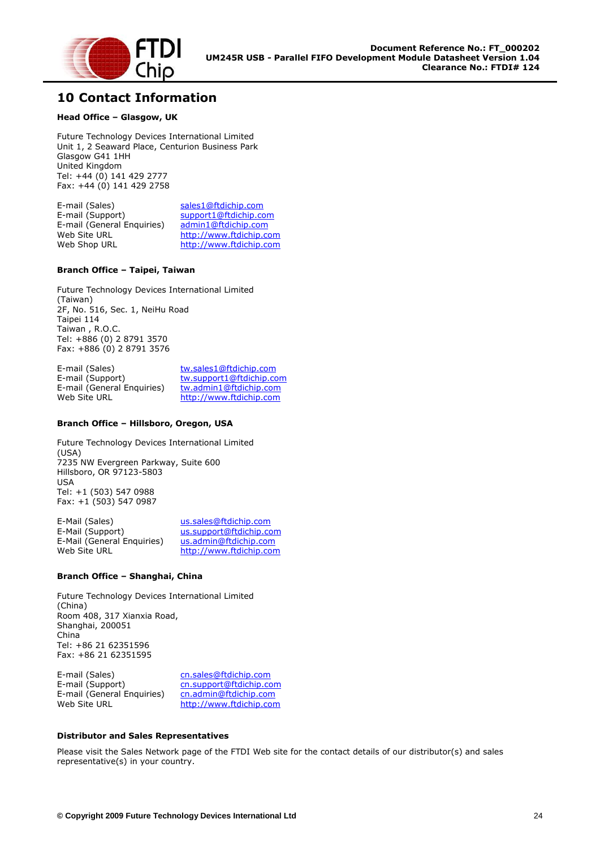

#### <span id="page-24-0"></span>**10 Contact Information**

#### **Head Office – Glasgow, UK**

Future Technology Devices International Limited Unit 1, 2 Seaward Place, Centurion Business Park Glasgow G41 1HH United Kingdom Tel: +44 (0) 141 429 2777 Fax: +44 (0) 141 429 2758

E-mail (Sales) [sales1@ftdichip.com](mailto:sales1@ftdichip.com)<br>E-mail (Support) support1@ftdichip.com [support1@ftdichip.com](mailto:support1@ftdichip.com)<br>admin1@ftdichip.com E-mail (General Enquiries) Web Site URL [http://www.ftdichip.com](http://www.ftdichip.com/) Web Shop URL [http://www.ftdichip.com](http://www.ftdichip.com/)

#### **Branch Office – Taipei, Taiwan**

Future Technology Devices International Limited (Taiwan) 2F, No. 516, Sec. 1, NeiHu Road Taipei 114 Taiwan , R.O.C. Tel: +886 (0) 2 8791 3570 Fax: +886 (0) 2 8791 3576

E-mail (Sales) [tw.sales1@ftdichip.com](mailto:tw.sales1@ftdichip.com) E-mail (Support) [tw.support1@ftdichip.com](mailto:tw.support1@ftdichip.com) E-mail (General Enquiries) [tw.admin1@ftdichip.com](mailto:tw.admin1@ftdichip.com) Web Site URL [http://www.ftdichip.com](http://www.ftdichip.com/)

#### **Branch Office – Hillsboro, Oregon, USA**

Future Technology Devices International Limited (USA) 7235 NW Evergreen Parkway, Suite 600 Hillsboro, OR 97123-5803 USA Tel: +1 (503) 547 0988 Fax: +1 (503) 547 0987

E-Mail (Sales) [us.sales@ftdichip.com](mailto:us.sales@ftdichip.com) E-Mail (Support) [us.support@ftdichip.com](mailto:us.support@ftdichip.com) E-Mail (General Enquiries) [us.admin@ftdichip.com](mailto:us.admin@ftdichip.com) Web Site URL [http://www.ftdichip.com](http://www.ftdichip.com/)

#### **Branch Office – Shanghai, China**

Future Technology Devices International Limited (China) Room 408, 317 Xianxia Road, Shanghai, 200051 China Tel: +86 21 62351596 Fax: +86 21 62351595

E-mail (Sales) [cn.sales@ftdichip.com](mailto:cn.sales@ftdichip.com) E-mail (Support) [cn.support@ftdichip.com](mailto:cn.support@ftdichip.com)<br>E-mail (General Enguiries) cn.admin@ftdichip.com E-mail (General Enquiries)<br>Web Site URL

[http://www.ftdichip.com](http://www.ftdichip.com/)

#### **Distributor and Sales Representatives**

Please visit the Sales Network page of the FTDI Web site for the contact details of our distributor(s) and sales representative(s) in your country.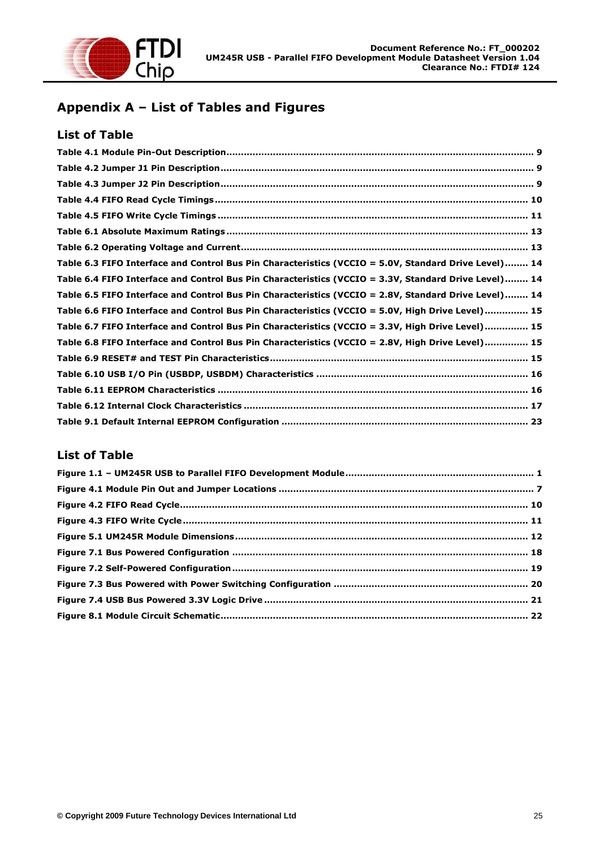

## <span id="page-25-0"></span>**Appendix A – List of Tables and Figures**

#### **List of Table**

| Table 6.3 FIFO Interface and Control Bus Pin Characteristics (VCCIO = 5.0V, Standard Drive Level) 14 |  |
|------------------------------------------------------------------------------------------------------|--|
| Table 6.4 FIFO Interface and Control Bus Pin Characteristics (VCCIO = 3.3V, Standard Drive Level) 14 |  |
| Table 6.5 FIFO Interface and Control Bus Pin Characteristics (VCCIO = 2.8V, Standard Drive Level) 14 |  |
| Table 6.6 FIFO Interface and Control Bus Pin Characteristics (VCCIO = 5.0V, High Drive Level) 15     |  |
| Table 6.7 FIFO Interface and Control Bus Pin Characteristics (VCCIO = 3.3V, High Drive Level) 15     |  |
| Table 6.8 FIFO Interface and Control Bus Pin Characteristics (VCCIO = 2.8V, High Drive Level) 15     |  |
|                                                                                                      |  |
|                                                                                                      |  |
|                                                                                                      |  |
|                                                                                                      |  |
|                                                                                                      |  |

#### **List of Table**